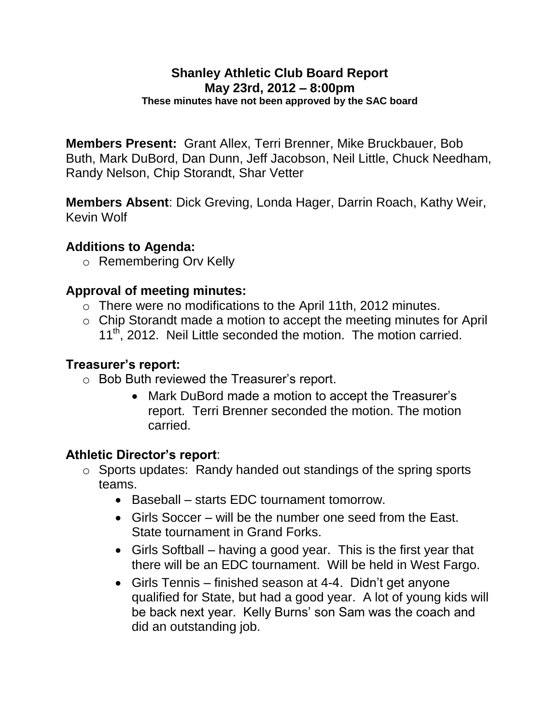#### **Shanley Athletic Club Board Report May 23rd, 2012 – 8:00pm These minutes have not been approved by the SAC board**

**Members Present:** Grant Allex, Terri Brenner, Mike Bruckbauer, Bob Buth, Mark DuBord, Dan Dunn, Jeff Jacobson, Neil Little, Chuck Needham, Randy Nelson, Chip Storandt, Shar Vetter

**Members Absent**: Dick Greving, Londa Hager, Darrin Roach, Kathy Weir, Kevin Wolf

#### **Additions to Agenda:**

o Remembering Orv Kelly

#### **Approval of meeting minutes:**

- o There were no modifications to the April 11th, 2012 minutes.
- o Chip Storandt made a motion to accept the meeting minutes for April 11<sup>th</sup>, 2012. Neil Little seconded the motion. The motion carried.

#### **Treasurer's report:**

- o Bob Buth reviewed the Treasurer's report.
	- Mark DuBord made a motion to accept the Treasurer's report. Terri Brenner seconded the motion. The motion carried.

#### **Athletic Director's report**:

- o Sports updates: Randy handed out standings of the spring sports teams.
	- Baseball starts EDC tournament tomorrow.
	- Girls Soccer will be the number one seed from the East. State tournament in Grand Forks.
	- Girls Softball having a good year. This is the first year that there will be an EDC tournament. Will be held in West Fargo.
	- Girls Tennis finished season at 4-4. Didn't get anyone qualified for State, but had a good year. A lot of young kids will be back next year. Kelly Burns' son Sam was the coach and did an outstanding job.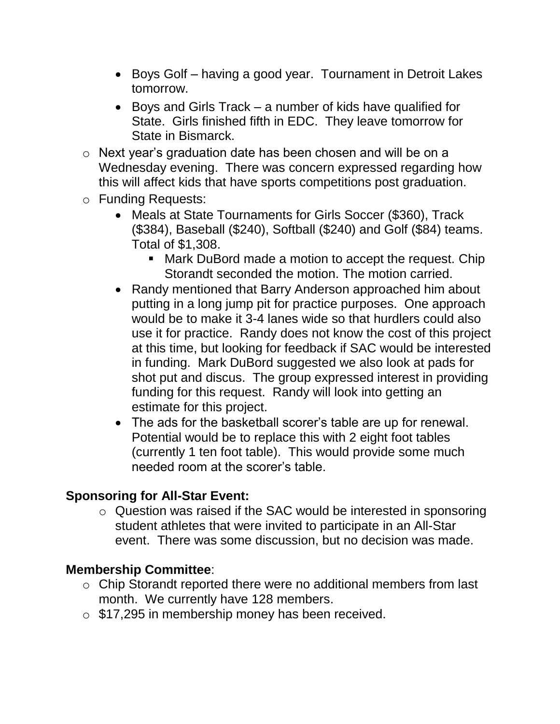- Boys Golf having a good year. Tournament in Detroit Lakes tomorrow.
- Boys and Girls Track a number of kids have qualified for State. Girls finished fifth in EDC. They leave tomorrow for State in Bismarck.
- o Next year's graduation date has been chosen and will be on a Wednesday evening. There was concern expressed regarding how this will affect kids that have sports competitions post graduation.
- o Funding Requests:
	- Meals at State Tournaments for Girls Soccer (\$360), Track (\$384), Baseball (\$240), Softball (\$240) and Golf (\$84) teams. Total of \$1,308.
		- Mark DuBord made a motion to accept the request. Chip Storandt seconded the motion. The motion carried.
	- Randy mentioned that Barry Anderson approached him about putting in a long jump pit for practice purposes. One approach would be to make it 3-4 lanes wide so that hurdlers could also use it for practice. Randy does not know the cost of this project at this time, but looking for feedback if SAC would be interested in funding. Mark DuBord suggested we also look at pads for shot put and discus. The group expressed interest in providing funding for this request. Randy will look into getting an estimate for this project.
	- The ads for the basketball scorer's table are up for renewal. Potential would be to replace this with 2 eight foot tables (currently 1 ten foot table). This would provide some much needed room at the scorer's table.

## **Sponsoring for All-Star Event:**

o Question was raised if the SAC would be interested in sponsoring student athletes that were invited to participate in an All-Star event. There was some discussion, but no decision was made.

## **Membership Committee**:

- o Chip Storandt reported there were no additional members from last month. We currently have 128 members.
- o \$17,295 in membership money has been received.